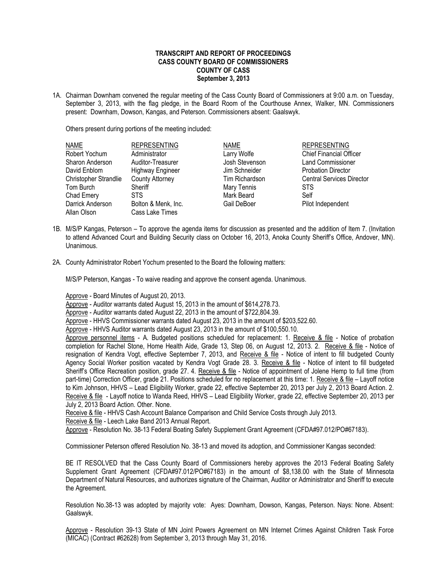## **TRANSCRIPT AND REPORT OF PROCEEDINGS CASS COUNTY BOARD OF COMMISSIONERS COUNTY OF CASS September 3, 2013**

1A. Chairman Downham convened the regular meeting of the Cass County Board of Commissioners at 9:00 a.m. on Tuesday, September 3, 2013, with the flag pledge, in the Board Room of the Courthouse Annex, Walker, MN. Commissioners present: Downham, Dowson, Kangas, and Peterson. Commissioners absent: Gaalswyk.

Others present during portions of the meeting included:

| <b>NAME</b>           | <b>REPRESENTING</b>     | <b>NAME</b>    | <b>REPRESENTING</b>              |
|-----------------------|-------------------------|----------------|----------------------------------|
| Robert Yochum         | Administrator           | Larry Wolfe    | <b>Chief Financial Officer</b>   |
| Sharon Anderson       | Auditor-Treasurer       | Josh Stevenson | <b>Land Commissioner</b>         |
| David Enblom          | <b>Highway Engineer</b> | Jim Schneider  | <b>Probation Director</b>        |
| Christopher Strandlie | <b>County Attorney</b>  | Tim Richardson | <b>Central Services Director</b> |
| Tom Burch             | Sheriff                 | Mary Tennis    | <b>STS</b>                       |
| Chad Emery            | <b>STS</b>              | Mark Beard     | Self                             |
| Darrick Anderson      | Bolton & Menk, Inc.     | Gail DeBoer    | Pilot Independent                |
| Allan Olson           | Cass Lake Times         |                |                                  |

- 1B. M/S/P Kangas, Peterson To approve the agenda items for discussion as presented and the addition of Item 7. (Invitation to attend Advanced Court and Building Security class on October 16, 2013, Anoka County Sheriff's Office, Andover, MN). Unanimous.
- 2A. County Administrator Robert Yochum presented to the Board the following matters:

M/S/P Peterson, Kangas - To waive reading and approve the consent agenda. Unanimous.

Approve - Board Minutes of August 20, 2013.

Approve - Auditor warrants dated August 15, 2013 in the amount of \$614,278.73.

Approve - Auditor warrants dated August 22, 2013 in the amount of \$722,804.39.

Approve - HHVS Commissioner warrants dated August 23, 2013 in the amount of \$203,522.60.

Approve - HHVS Auditor warrants dated August 23, 2013 in the amount of \$100,550.10.

Approve personnel items - A. Budgeted positions scheduled for replacement: 1. Receive & file - Notice of probation completion for Rachel Stone, Home Health Aide, Grade 13, Step 06, on August 12, 2013. 2. Receive & file - Notice of resignation of Kendra Vogt, effective September 7, 2013, and Receive & file - Notice of intent to fill budgeted County Agency Social Worker position vacated by Kendra Vogt Grade 28. 3. Receive & file - Notice of intent to fill budgeted Sheriff's Office Recreation position, grade 27. 4. Receive & file - Notice of appointment of Jolene Hemp to full time (from part-time) Correction Officer, grade 21. Positions scheduled for no replacement at this time: 1. Receive & file – Layoff notice to Kim Johnson, HHVS – Lead Eligibility Worker, grade 22, effective September 20, 2013 per July 2, 2013 Board Action. 2. Receive & file - Layoff notice to Wanda Reed, HHVS – Lead Eligibility Worker, grade 22, effective September 20, 2013 per July 2, 2013 Board Action. Other. None.

Receive & file - HHVS Cash Account Balance Comparison and Child Service Costs through July 2013.

Receive & file - Leech Lake Band 2013 Annual Report.

Approve - Resolution No. 38-13 Federal Boating Safety Supplement Grant Agreement (CFDA#97.012/PO#67183).

Commissioner Peterson offered Resolution No. 38-13 and moved its adoption, and Commissioner Kangas seconded:

BE IT RESOLVED that the Cass County Board of Commissioners hereby approves the 2013 Federal Boating Safety Supplement Grant Agreement (CFDA#97.012/PO#67183) in the amount of \$8,138.00 with the State of Minnesota Department of Natural Resources, and authorizes signature of the Chairman, Auditor or Administrator and Sheriff to execute the Agreement.

Resolution No.38-13 was adopted by majority vote: Ayes: Downham, Dowson, Kangas, Peterson. Nays: None. Absent: Gaalswyk.

Approve - Resolution 39-13 State of MN Joint Powers Agreement on MN Internet Crimes Against Children Task Force (MICAC) (Contract #62628) from September 3, 2013 through May 31, 2016.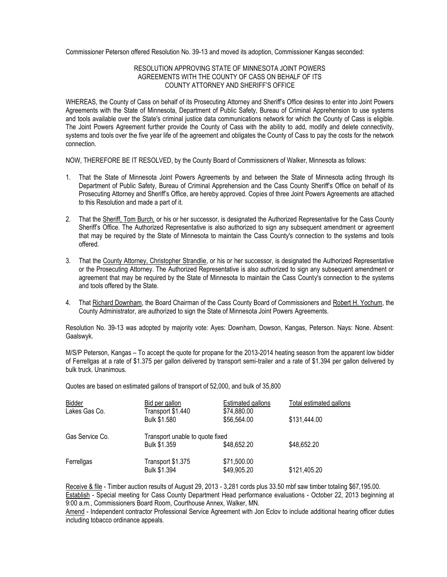Commissioner Peterson offered Resolution No. 39-13 and moved its adoption, Commissioner Kangas seconded:

## RESOLUTION APPROVING STATE OF MINNESOTA JOINT POWERS AGREEMENTS WITH THE COUNTY OF CASS ON BEHALF OF ITS COUNTY ATTORNEY AND SHERIFF'S OFFICE

WHEREAS, the County of Cass on behalf of its Prosecuting Attorney and Sheriff's Office desires to enter into Joint Powers Agreements with the State of Minnesota, Department of Public Safety, Bureau of Criminal Apprehension to use systems and tools available over the State's criminal justice data communications network for which the County of Cass is eligible. The Joint Powers Agreement further provide the County of Cass with the ability to add, modify and delete connectivity, systems and tools over the five year life of the agreement and obligates the County of Cass to pay the costs for the network connection.

NOW, THEREFORE BE IT RESOLVED, by the County Board of Commissioners of Walker, Minnesota as follows:

- 1. That the State of Minnesota Joint Powers Agreements by and between the State of Minnesota acting through its Department of Public Safety, Bureau of Criminal Apprehension and the Cass County Sheriff's Office on behalf of its Prosecuting Attorney and Sheriff's Office, are hereby approved. Copies of three Joint Powers Agreements are attached to this Resolution and made a part of it.
- 2. That the Sheriff, Tom Burch, or his or her successor, is designated the Authorized Representative for the Cass County Sheriff's Office. The Authorized Representative is also authorized to sign any subsequent amendment or agreement that may be required by the State of Minnesota to maintain the Cass County's connection to the systems and tools offered.
- 3. That the County Attorney, Christopher Strandlie, or his or her successor, is designated the Authorized Representative or the Prosecuting Attorney. The Authorized Representative is also authorized to sign any subsequent amendment or agreement that may be required by the State of Minnesota to maintain the Cass County's connection to the systems and tools offered by the State.
- 4. That Richard Downham, the Board Chairman of the Cass County Board of Commissioners and Robert H. Yochum, the County Administrator, are authorized to sign the State of Minnesota Joint Powers Agreements.

Resolution No. 39-13 was adopted by majority vote: Ayes: Downham, Dowson, Kangas, Peterson. Nays: None. Absent: Gaalswyk.

M/S/P Peterson, Kangas – To accept the quote for propane for the 2013-2014 heating season from the apparent low bidder of Ferrellgas at a rate of \$1.375 per gallon delivered by transport semi-trailer and a rate of \$1.394 per gallon delivered by bulk truck. Unanimous.

Quotes are based on estimated gallons of transport of 52,000, and bulk of 35,800

| Bidder          | Bid per gallon                    | Estimated gallons          | Total estimated gallons |
|-----------------|-----------------------------------|----------------------------|-------------------------|
| Lakes Gas Co.   | Transport \$1.440<br>Bulk \$1,580 | \$74,880.00<br>\$56,564.00 | \$131,444.00            |
| Gas Service Co. | Transport unable to quote fixed   |                            |                         |
|                 | <b>Bulk \$1,359</b>               | \$48,652.20                | \$48,652.20             |
| Ferrellgas      | Transport \$1.375<br>Bulk \$1.394 | \$71,500.00<br>\$49,905.20 | \$121,405.20            |

Receive & file - Timber auction results of August 29, 2013 - 3,281 cords plus 33.50 mbf saw timber totaling \$67,195.00. Establish - Special meeting for Cass County Department Head performance evaluations - October 22, 2013 beginning at 9:00 a.m., Commissioners Board Room, Courthouse Annex, Walker, MN.

Amend - Independent contractor Professional Service Agreement with Jon Eclov to include additional hearing officer duties including tobacco ordinance appeals.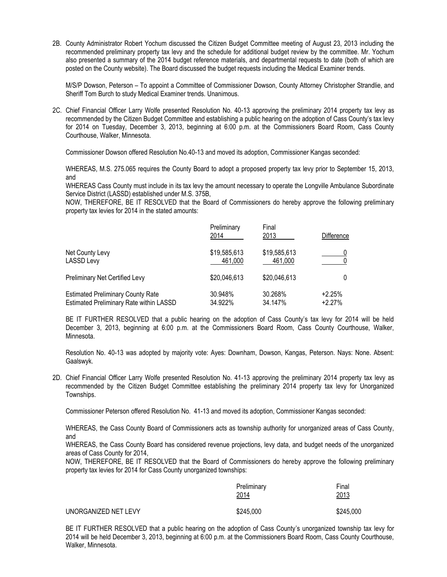2B. County Administrator Robert Yochum discussed the Citizen Budget Committee meeting of August 23, 2013 including the recommended preliminary property tax levy and the schedule for additional budget review by the committee. Mr. Yochum also presented a summary of the 2014 budget reference materials, and departmental requests to date (both of which are posted on the County website). The Board discussed the budget requests including the Medical Examiner trends.

M/S/P Dowson, Peterson – To appoint a Committee of Commissioner Dowson, County Attorney Christopher Strandlie, and Sheriff Tom Burch to study Medical Examiner trends. Unanimous.

2C. Chief Financial Officer Larry Wolfe presented Resolution No. 40-13 approving the preliminary 2014 property tax levy as recommended by the Citizen Budget Committee and establishing a public hearing on the adoption of Cass County's tax levy for 2014 on Tuesday, December 3, 2013, beginning at 6:00 p.m. at the Commissioners Board Room, Cass County Courthouse, Walker, Minnesota.

Commissioner Dowson offered Resolution No.40-13 and moved its adoption, Commissioner Kangas seconded:

WHEREAS, M.S. 275.065 requires the County Board to adopt a proposed property tax levy prior to September 15, 2013, and

WHEREAS Cass County must include in its tax levy the amount necessary to operate the Longville Ambulance Subordinate Service District (LASSD) established under M.S. 375B,

NOW, THEREFORE, BE IT RESOLVED that the Board of Commissioners do hereby approve the following preliminary property tax levies for 2014 in the stated amounts:

|                                                | Preliminary<br>2014 | Final<br>2013 | Difference |
|------------------------------------------------|---------------------|---------------|------------|
| Net County Levy                                | \$19,585,613        | \$19,585,613  |            |
| <b>LASSD Levy</b>                              | 461.000             | 461,000       |            |
| Preliminary Net Certified Levy                 | \$20,046,613        | \$20,046,613  |            |
| <b>Estimated Preliminary County Rate</b>       | 30.948%             | 30.268%       | $+2.25%$   |
| <b>Estimated Preliminary Rate within LASSD</b> | 34.922%             | 34.147%       | $+2.27%$   |

BE IT FURTHER RESOLVED that a public hearing on the adoption of Cass County's tax levy for 2014 will be held December 3, 2013, beginning at 6:00 p.m. at the Commissioners Board Room, Cass County Courthouse, Walker, Minnesota.

Resolution No. 40-13 was adopted by majority vote: Ayes: Downham, Dowson, Kangas, Peterson. Nays: None. Absent: Gaalswyk.

2D. Chief Financial Officer Larry Wolfe presented Resolution No. 41-13 approving the preliminary 2014 property tax levy as recommended by the Citizen Budget Committee establishing the preliminary 2014 property tax levy for Unorganized Townships.

Commissioner Peterson offered Resolution No. 41-13 and moved its adoption, Commissioner Kangas seconded:

WHEREAS, the Cass County Board of Commissioners acts as township authority for unorganized areas of Cass County, and

WHEREAS, the Cass County Board has considered revenue projections, levy data, and budget needs of the unorganized areas of Cass County for 2014,

NOW, THEREFORE, BE IT RESOLVED that the Board of Commissioners do hereby approve the following preliminary property tax levies for 2014 for Cass County unorganized townships:

|                      | Preliminary<br><u>2014</u> | Final<br>2013 |
|----------------------|----------------------------|---------------|
| UNORGANIZED NET LEVY | \$245,000                  | \$245,000     |

BE IT FURTHER RESOLVED that a public hearing on the adoption of Cass County's unorganized township tax levy for 2014 will be held December 3, 2013, beginning at 6:00 p.m. at the Commissioners Board Room, Cass County Courthouse, Walker, Minnesota.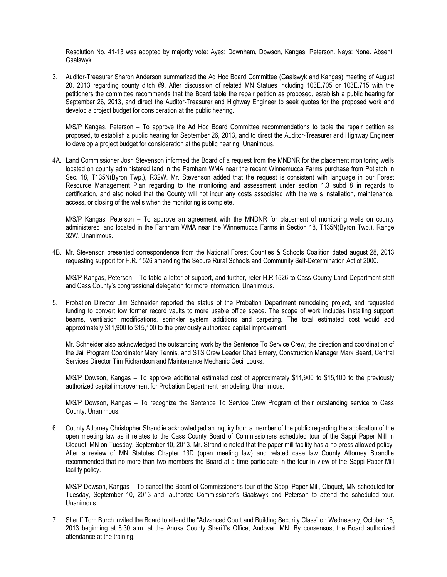Resolution No. 41-13 was adopted by majority vote: Ayes: Downham, Dowson, Kangas, Peterson. Nays: None. Absent: Gaalswyk.

3. Auditor-Treasurer Sharon Anderson summarized the Ad Hoc Board Committee (Gaalswyk and Kangas) meeting of August 20, 2013 regarding county ditch #9. After discussion of related MN Statues including 103E.705 or 103E.715 with the petitioners the committee recommends that the Board table the repair petition as proposed, establish a public hearing for September 26, 2013, and direct the Auditor-Treasurer and Highway Engineer to seek quotes for the proposed work and develop a project budget for consideration at the public hearing.

M/S/P Kangas, Peterson – To approve the Ad Hoc Board Committee recommendations to table the repair petition as proposed, to establish a public hearing for September 26, 2013, and to direct the Auditor-Treasurer and Highway Engineer to develop a project budget for consideration at the public hearing. Unanimous.

4A. Land Commissioner Josh Stevenson informed the Board of a request from the MNDNR for the placement monitoring wells located on county administered land in the Farnham WMA near the recent Winnemucca Farms purchase from Potlatch in Sec. 18, T135N(Byron Twp.), R32W. Mr. Stevenson added that the request is consistent with language in our Forest Resource Management Plan regarding to the monitoring and assessment under section 1.3 subd 8 in regards to certification, and also noted that the County will not incur any costs associated with the wells installation, maintenance, access, or closing of the wells when the monitoring is complete.

M/S/P Kangas, Peterson – To approve an agreement with the MNDNR for placement of monitoring wells on county administered land located in the Farnham WMA near the Winnemucca Farms in Section 18, T135N(Byron Twp.), Range 32W. Unanimous.

4B. Mr. Stevenson presented correspondence from the National Forest Counties & Schools Coalition dated august 28, 2013 requesting support for H.R. 1526 amending the Secure Rural Schools and Community Self-Determination Act of 2000.

M/S/P Kangas, Peterson – To table a letter of support, and further, refer H.R.1526 to Cass County Land Department staff and Cass County's congressional delegation for more information. Unanimous.

5. Probation Director Jim Schneider reported the status of the Probation Department remodeling project, and requested funding to convert tow former record vaults to more usable office space. The scope of work includes installing support beams, ventilation modifications, sprinkler system additions and carpeting. The total estimated cost would add approximately \$11,900 to \$15,100 to the previously authorized capital improvement.

Mr. Schneider also acknowledged the outstanding work by the Sentence To Service Crew, the direction and coordination of the Jail Program Coordinator Mary Tennis, and STS Crew Leader Chad Emery, Construction Manager Mark Beard, Central Services Director Tim Richardson and Maintenance Mechanic Cecil Louks.

M/S/P Dowson, Kangas – To approve additional estimated cost of approximately \$11,900 to \$15,100 to the previously authorized capital improvement for Probation Department remodeling. Unanimous.

M/S/P Dowson, Kangas – To recognize the Sentence To Service Crew Program of their outstanding service to Cass County. Unanimous.

6. County Attorney Christopher Strandlie acknowledged an inquiry from a member of the public regarding the application of the open meeting law as it relates to the Cass County Board of Commissioners scheduled tour of the Sappi Paper Mill in Cloquet, MN on Tuesday, September 10, 2013. Mr. Strandlie noted that the paper mill facility has a no press allowed policy. After a review of MN Statutes Chapter 13D (open meeting law) and related case law County Attorney Strandlie recommended that no more than two members the Board at a time participate in the tour in view of the Sappi Paper Mill facility policy.

M/S/P Dowson, Kangas – To cancel the Board of Commissioner's tour of the Sappi Paper Mill, Cloquet, MN scheduled for Tuesday, September 10, 2013 and, authorize Commissioner's Gaalswyk and Peterson to attend the scheduled tour. Unanimous.

7. Sheriff Tom Burch invited the Board to attend the "Advanced Court and Building Security Class" on Wednesday, October 16, 2013 beginning at 8:30 a.m. at the Anoka County Sheriff's Office, Andover, MN. By consensus, the Board authorized attendance at the training.